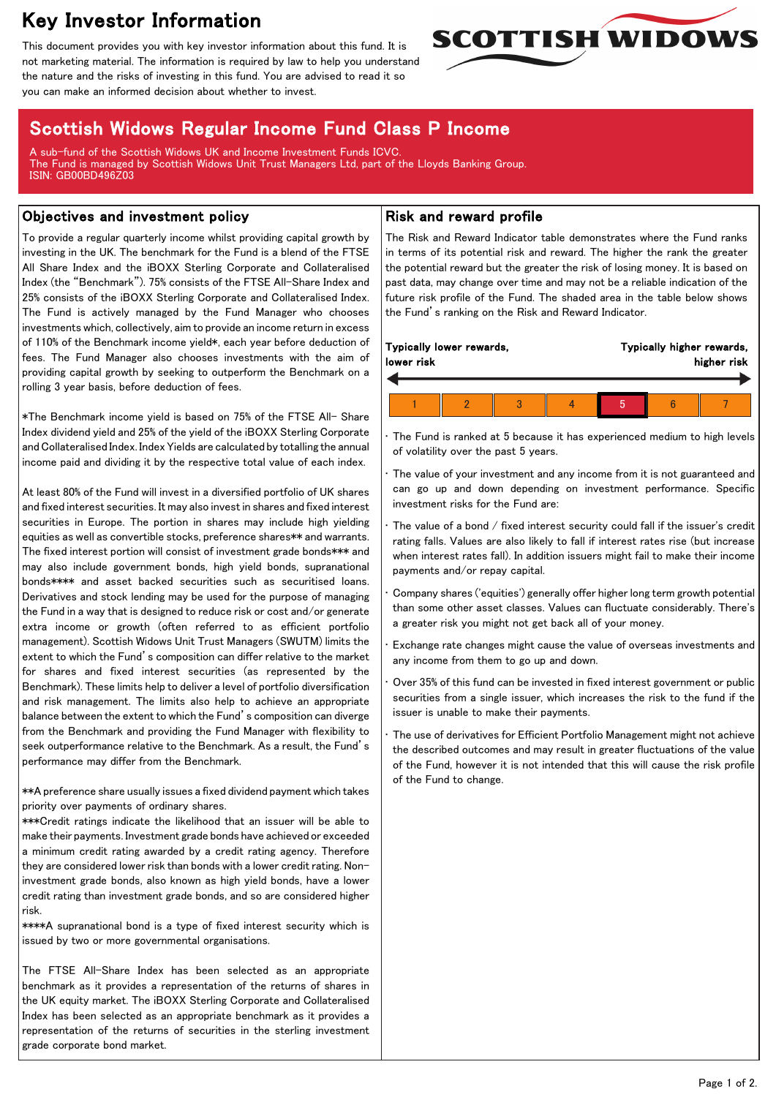# Key Investor Information

This document provides you with key investor information about this fund. It is not marketing material. The information is required by law to help you understand the nature and the risks of investing in this fund. You are advised to read it so you can make an informed decision about whether to invest.



## Scottish Widows Regular Income Fund Class P Income

A sub-fund of the Scottish Widows UK and Income Investment Funds ICVC. The Fund is managed by Scottish Widows Unit Trust Managers Ltd, part of the Lloyds Banking Group. ISIN: GB00BD496Z03

#### Objectives and investment policy

To provide a regular quarterly income whilst providing capital growth by investing in the UK. The benchmark for the Fund is a blend of the FTSE All Share Index and the iBOXX Sterling Corporate and Collateralised Index (the "Benchmark"). 75% consists of the FTSE All-Share Index and 25% consists of the iBOXX Sterling Corporate and Collateralised Index. The Fund is actively managed by the Fund Manager who chooses investments which, collectively, aim to provide an income return in excess of 110% of the Benchmark income yield\*, each year before deduction of fees. The Fund Manager also chooses investments with the aim of providing capital growth by seeking to outperform the Benchmark on a rolling 3 year basis, before deduction of fees.

\*The Benchmark income yield is based on 75% of the FTSE All- Share Index dividend yield and 25% of the yield of the iBOXX Sterling Corporate and Collateralised Index. Index Yields are calculated by totalling the annual income paid and dividing it by the respective total value of each index.

At least 80% of the Fund will invest in a diversified portfolio of UK shares and fixed interest securities. It may also invest in shares and fixed interest securities in Europe. The portion in shares may include high yielding equities as well as convertible stocks, preference shares\*\* and warrants. The fixed interest portion will consist of investment grade bonds\*\*\* and may also include government bonds, high yield bonds, supranational bonds\*\*\*\* and asset backed securities such as securitised loans. Derivatives and stock lending may be used for the purpose of managing the Fund in a way that is designed to reduce risk or cost and/or generate extra income or growth (often referred to as efficient portfolio management). Scottish Widows Unit Trust Managers (SWUTM) limits the extent to which the Fund's composition can differ relative to the market for shares and fixed interest securities (as represented by the Benchmark). These limits help to deliver a level of portfolio diversification and risk management. The limits also help to achieve an appropriate balance between the extent to which the Fund's composition can diverge from the Benchmark and providing the Fund Manager with flexibility to seek outperformance relative to the Benchmark. As a result, the Fund's performance may differ from the Benchmark.

\*\*A preference share usually issues a fixed dividend payment which takes priority over payments of ordinary shares.

\*\*\*Credit ratings indicate the likelihood that an issuer will be able to make their payments. Investment grade bonds have achieved or exceeded a minimum credit rating awarded by a credit rating agency. Therefore they are considered lower risk than bonds with a lower credit rating. Noninvestment grade bonds, also known as high yield bonds, have a lower credit rating than investment grade bonds, and so are considered higher risk.

\*\*\*\*A supranational bond is a type of fixed interest security which is issued by two or more governmental organisations.

The FTSE All-Share Index has been selected as an appropriate benchmark as it provides a representation of the returns of shares in the UK equity market. The iBOXX Sterling Corporate and Collateralised Index has been selected as an appropriate benchmark as it provides a representation of the returns of securities in the sterling investment grade corporate bond market.

#### Risk and reward profile

The Risk and Reward Indicator table demonstrates where the Fund ranks in terms of its potential risk and reward. The higher the rank the greater the potential reward but the greater the risk of losing money. It is based on past data, may change over time and may not be a reliable indication of the future risk profile of the Fund. The shaded area in the table below shows the Fund's ranking on the Risk and Reward Indicator.

The Fund is ranked at 5 because it has experienced medium to high levels of volatility over the past 5 years.

The value of your investment and any income from it is not guaranteed and can go up and down depending on investment performance. Specific investment risks for the Fund are:

The value of a bond  $/$  fixed interest security could fall if the issuer's credit rating falls. Values are also likely to fall if interest rates rise (but increase when interest rates fall). In addition issuers might fail to make their income payments and/or repay capital.

• Company shares ('equities') generally offer higher long term growth potential than some other asset classes. Values can fluctuate considerably. There's a greater risk you might not get back all of your money.

• Exchange rate changes might cause the value of overseas investments and any income from them to go up and down.

• Over 35% of this fund can be invested in fixed interest government or public securities from a single issuer, which increases the risk to the fund if the issuer is unable to make their payments.

The use of derivatives for Efficient Portfolio Management might not achieve the described outcomes and may result in greater fluctuations of the value of the Fund, however it is not intended that this will cause the risk profile of the Fund to change.